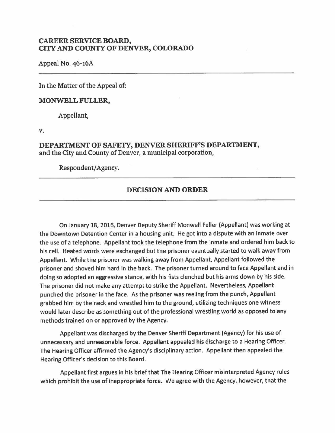## **CAREER SERVICE BOARD, CITY AND COUNTY OF DENVER, COLORADO**

Appeal No. 46-16A

In the Matter of the Appeal of:

## **MONWELL FULLER,**

Appellant,

v.

**DEPARTMENT OF SAFETY, DENVER SHERIFF'S DEPARTMENT,**  and the City and County of Denver, a municipal corporation,

Respondent/Agency.

## **DECISION AND ORDER**

On January 18, 2016, Denver Deputy Sheriff Monwell Fuller (Appellant) was working at the Downtown Detention Center in a housing unit. He got into a dispute with an inmate over the use of a telephone. Appellant took the telephone from the inmate and ordered him back to his cell. Heated words were exchanged but the prisoner eventually started to walk away from Appellant. While the prisoner was walking away from Appellant, Appellant followed the prisoner and shoved him hard in the back. The prisoner turned around to face Appellant and in doing so adopted an aggressive stance, with his fists clenched but his arms down by his side. The prisoner did not make any attempt to strike the Appellant. Nevertheless, Appellant punched the prisoner in the face. As the prisoner was reeling from the punch, Appellant grabbed him by the neck and wrestled him to the ground, utilizing techniques one witness would later describe as something out of the professional wrestling world as opposed to any methods trained on or approved by the Agency.

Appellant was discharged by the Denver Sheriff Department {Agency) for his use of unnecessary and unreasonable force. Appellant appealed his discharge to a Hearing Officer. The Hearing Officer affirmed the Agency's disciplinary action. Appellant then appealed the Hearing Officer's decision to this Board.

Appellant first argues in his brief that The Hearing Officer misinterpreted Agency rules which prohibit the use of inappropriate force. We agree with the Agency, however, that the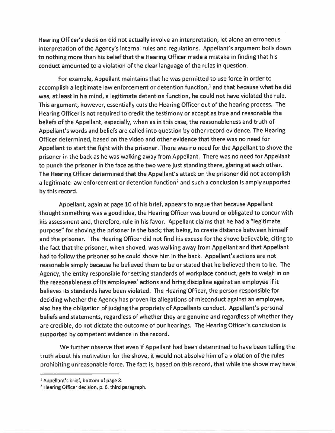Hearing Officer's decision did not actually involve an interpretation, let alone an erroneous interpretation of the Agency's internal rules and regulations. Appellant's argument boils down to nothing more than his belief that the Hearing Officer made a mistake in finding that his conduct amounted to a violation of the clear language of the rules in question.

For example, Appellant maintains that he was permitted to use force in order to accomplish a legitimate law enforcement or detention function,<sup>1</sup> and that because what he did was, at least in his mind, a legitimate detention function, he could not have violated the rule. This argument, however, essentially cuts the Hearing Officer out of the hearing process. The Hearing Officer is not required to credit the testimony or accept as true and reasonable the beliefs of the Appellant, especially, when as in this case, the reasonableness and truth of Appellant's words and beliefs are called into question by other record evidence. The Hearing Officer determined, based on the video and other evidence that there was no need for Appellant to start the fight with the prisoner. There was no need for the Appellant to shove the prisoner in the back as he was walking away from Appellant. There was no need for Appellant to punch the prisoner in the face as the two were just standing there, glaring at each other. The Hearing Officer determined that the Appellant's attack on the prisoner did not accomplish a legitimate law enforcement or detention function<sup>2</sup> and such a conclusion is amply supported by this record.

Appellant, again at page 10 of his brief, appears to argue that because Appellant thought something was a good idea, the Hearing Officer was bound or obligated to concur with his assessment and, therefore, rule in his favor. Appellant claims that he had a "legitimate purpose" for shoving the prisoner in the back; that being, to create distance between himself and the prisoner. The Hearing Officer did not find his excuse for the shove believable, citing to the fact that the prisoner, when shoved, was walking away from Appellant and that Appellant had to follow the prisoner so he could shove him in the back. Appellant's actions are not reasonable simply because he believed them to be or stated that he believed them to be. The Agency, the entity responsible for setting standards of workplace conduct, gets to weigh in on the reasonableness of its employees' actions and bring discipline against an employee if it believes its standards have been violated. The Hearing Officer, the person responsible for deciding whether the Agency has proven its allegations of misconduct against an employee, also has the obligation of judging the propriety of Appellants conduct. Appellant's personal beliefs and statements, regardless of whether they are genuine and regardless of whether they are credible, do not dictate the outcome of our hearings. The Hearing Officer's conclusion is supported by competent evidence in the record.

We further observe that even if Appellant had been determined to have been telling the truth about his motivation for the shove, it would not absolve him of a violation of the rules prohibiting unreasonable force. The fact is, based on this record, that while the shove may have

<sup>&</sup>lt;sup>1</sup> Appellant's brief, bottom of page 8.

<sup>&</sup>lt;sup>2</sup> Hearing Officer decision, p. 6, third paragraph.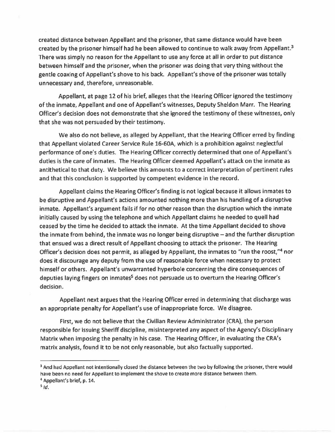created distance between Appellant and the prisoner, that same distance would have been created by the prisoner himself had he been allowed to continue to walk away from Appellant.<sup>3</sup> There was simply no reason for the Appellant to use any force at all in order to put distance between himself and the prisoner, when the prisoner was doing that very thing without the gentle coaxing of Appellant's shove to his back. Appellant's shove of the prisoner was totally unnecessary and, therefore, unreasonable.

Appellant, at page 12 of his brief, alleges that the Hearing Officer ignored the testimony of the inmate, Appellant and one of Appellant's witnesses, Deputy Sheldon Marr. The Hearing Officer's decision does not demonstrate that she ignored the testimony of these witnesses, only that she was not persuaded by their testimony.

We also do not believe, as alleged by Appellant, that the Hearing Officer erred by finding that Appellant violated Career Service Rule 16-60A, which is a prohibition against neglectful performance of one's duties. The Hearing Officer correctly determined that one of Appellant's duties is the care of inmates. The Hearing Officer deemed Appellant's attack on the inmate as antithetical to that duty. We believe this amounts to a correct interpretation of pertinent rules and that this conclusion is supported by competent evidence in the record.

Appellant claims the Hearing Officer's finding is not logical because it allows inmates to be disruptive and Appellant's actions amounted nothing more than his handling of a disruptive inmate. Appellant's argument fails if for no other reason than the disruption which the inmate initially caused by using the telephone and which Appellant claims he needed to quell had ceased by the time he decided to attack the inmate. At the time Appellant decided to shove the inmate from behind, the inmate was no longer being disruptive - and the further disruption that ensued was a direct result of Appellant choosing to attack the prisoner. The Hearing Officer's decision does not permit, as alleged by Appellant, the inmates to "run the roost,"4 nor does it discourage any deputy from the use of reasonable force when necessary to protect himself or others. Appellant's unwarranted hyperbole concerning the dire consequences of deputies laying fingers on inmates<sup>5</sup> does not persuade us to overturn the Hearing Officer's decision.

Appellant next argues that the Hearing Officer erred in determining that discharge was an appropriate penalty for Appellant's use of inappropriate force. We disagree.

First, we do not believe that the Civilian Review Administrator (CRA), the person responsible for issuing Sheriff discipline, misinterpreted any aspect of the Agency's Disciplinary Matrix when imposing the penalty in his case. The Hearing Officer, in evaluating the CRA's matrix analysis, found it to be not only reasonable, but also factually supported.

<sup>&</sup>lt;sup>3</sup> And had Appellant not intentionally closed the distance between the two by following the prisoner, there would have been no need for Appellant to implement the shove to create more distance between them.<br><sup>4</sup> Appellant's brief, p. 14.

 $5$  Id.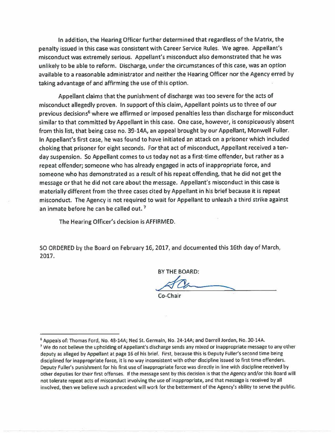In addition, the Hearing Officer further determined that regardless of the Matrix, the penalty issued in this case was consistent with Career Service Rules. We agree. Appellant's misconduct was extremely serious. Appellant's misconduct also demonstrated that he was unlikely to be able to reform. Discharge, under the circumstances of this case, was an option available to a reasonable administrator and neither the Hearing Officer nor the Agency erred by taking advantage of and affirming the use of this option.

Appellant claims that the punishment of discharge was too severe for the acts of misconduct allegedly proven. In support of this claim, Appellant points us to three of our previous decisions<sup>6</sup> where we affirmed or imposed penalties less than discharge for misconduct similar to that committed by Appellant in this case. One case, however, is conspicuously absent from this list, that being case no. 39-14A, an appeal brought by our Appellant, Monwell Fuller. In Appellant's first case, he was found to have initiated an attack on a prisoner which included choking that prisoner for eight seconds. For that act of misconduct, Appellant received a tenday suspension. So Appellant comes to us today not as a first-time offender, but rather as a repeat offender; someone who has already engaged in acts of inappropriate force, and someone who has demonstrated as a result of his repeat offending, that he did not get the message or that he did not care about the message. Appellant's misconduct in this case is materially different from the three cases cited by Appellant in his brief because it is repeat misconduct. The Agency is not required to wait for Appellant to unleash a third strike against an inmate before he can be called out.<sup>7</sup>

The Hearing Officer's decision is AFFIRMED.

SO ORDERED by the Board on February 16, 2017, and documented this 16th day of March, 2017.

BY THE BOARD:

 $\overline{\mathcal{A}^{\mu}}$ 

Co-Chair

<sup>6</sup> Appeals of: Thomas Ford, No. 48-14A; Ned St. Germain, No. 24-14A; and Darrell Jordan, No. 30-14A. <sup>7</sup> We do not believe the upholding of Appellant's discharge sends any mixed or inappropriate message to any other deputy as alleged by Appellant at page 16 of his brief. First, because this is Deputy Fuller's second time being disciplined for inappropriate force, It is no way inconsistent with other discipline issued to first time offenders. Deputy Fuller's punishment for his first use of inappropriate force was directly in line with discipline received by other deputies for their first offenses. If the message sent by this decision is that the Agency and/or this Board will not tolerate repeat acts of misconduct involving the use of inappropriate, and that message is received by all involved, then we believe such a precedent will work for the betterment of the Agency's ability to serve the public.